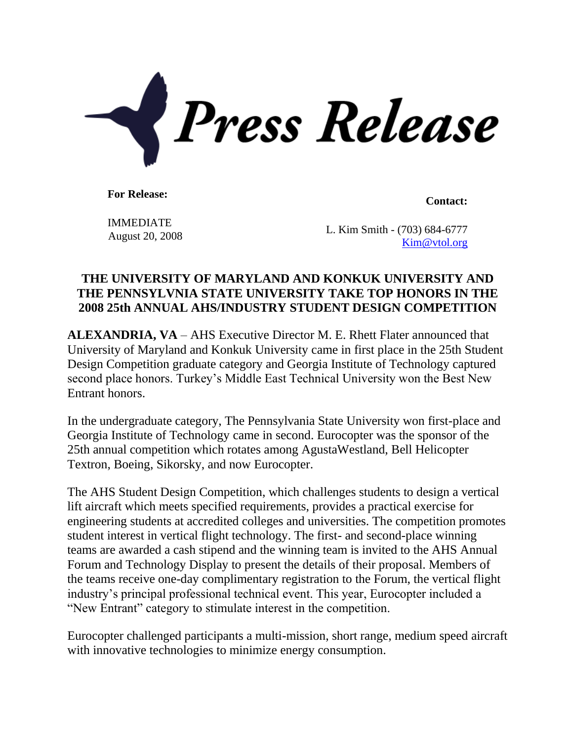

**For Release: Contact: Contact: Contact: Contact: Contact: Contact: Contact: Contact: Contact: Contact: Contact: Contact: Contact: Contact: Contact: Contact: Contact: Contact: Contact:** 

IMMEDIATE

 $\frac{1}{2}$  L. Kim Smith - (703) 684-6777<br>August 20, 2008 [Kim@vtol.org](mailto:Kim@vtol.org)

## **THE UNIVERSITY OF MARYLAND AND KONKUK UNIVERSITY AND THE PENNSYLVNIA STATE UNIVERSITY TAKE TOP HONORS IN THE 2008 25th ANNUAL AHS/INDUSTRY STUDENT DESIGN COMPETITION**

**ALEXANDRIA, VA** – AHS Executive Director M. E. Rhett Flater announced that University of Maryland and Konkuk University came in first place in the 25th Student Design Competition graduate category and Georgia Institute of Technology captured second place honors. Turkey's Middle East Technical University won the Best New Entrant honors.

In the undergraduate category, The Pennsylvania State University won first-place and Georgia Institute of Technology came in second. Eurocopter was the sponsor of the 25th annual competition which rotates among AgustaWestland, Bell Helicopter Textron, Boeing, Sikorsky, and now Eurocopter.

The AHS Student Design Competition, which challenges students to design a vertical lift aircraft which meets specified requirements, provides a practical exercise for engineering students at accredited colleges and universities. The competition promotes student interest in vertical flight technology. The first- and second-place winning teams are awarded a cash stipend and the winning team is invited to the AHS Annual Forum and Technology Display to present the details of their proposal. Members of the teams receive one-day complimentary registration to the Forum, the vertical flight industry's principal professional technical event. This year, Eurocopter included a "New Entrant" category to stimulate interest in the competition.

Eurocopter challenged participants a multi-mission, short range, medium speed aircraft with innovative technologies to minimize energy consumption.